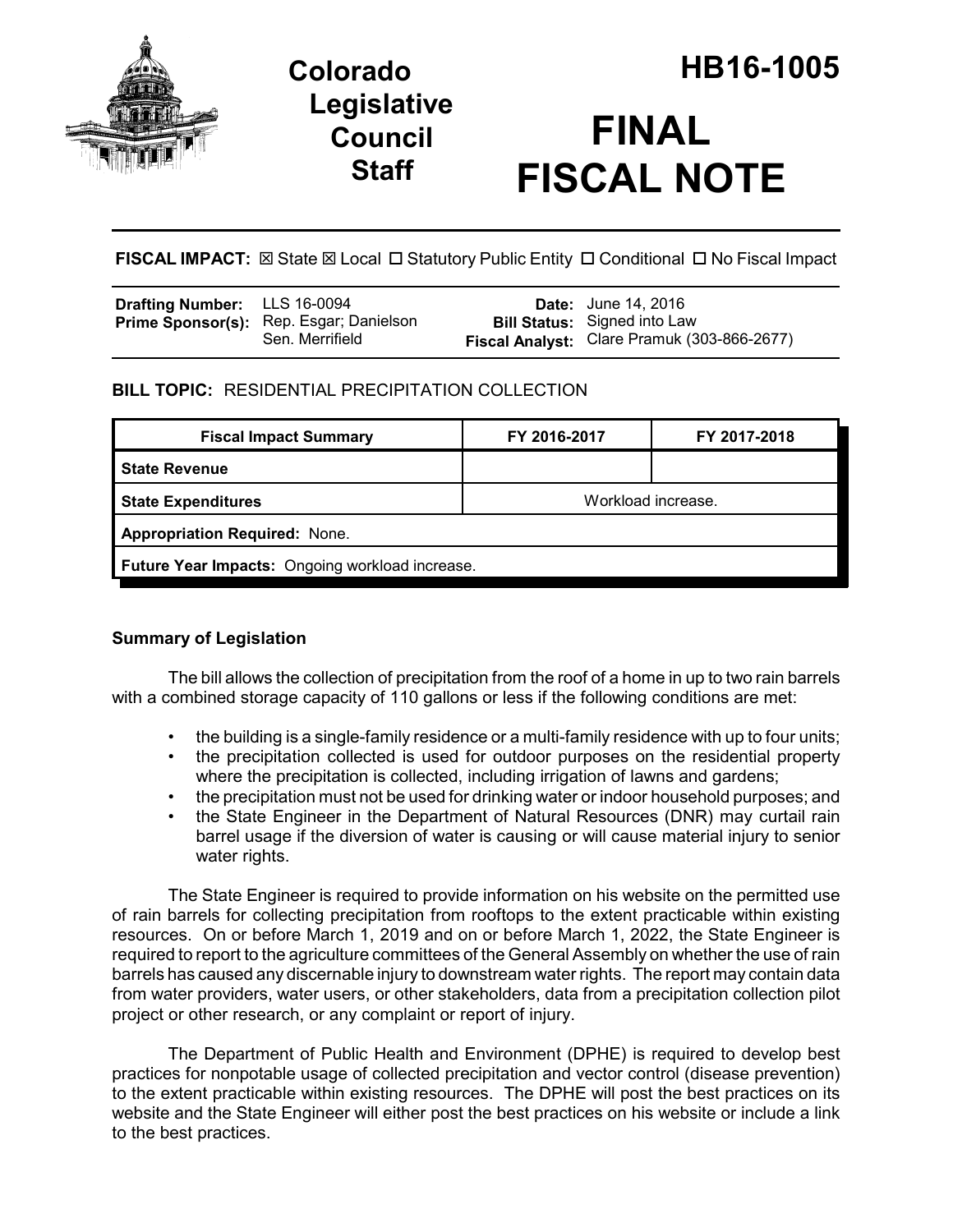

# **Legislative Council Staff**

**FISCAL IMPACT:**  $\boxtimes$  State  $\boxtimes$  Local  $\Box$  Statutory Public Entity  $\Box$  Conditional  $\Box$  No Fiscal Impact

| Drafting Number: LLS 16-0094 |                                                                   | <b>Date:</b> June 14, 2016                                                         |
|------------------------------|-------------------------------------------------------------------|------------------------------------------------------------------------------------|
|                              | <b>Prime Sponsor(s):</b> Rep. Esgar; Danielson<br>Sen. Merrifield | <b>Bill Status:</b> Signed into Law<br>Fiscal Analyst: Clare Pramuk (303-866-2677) |

## **BILL TOPIC:** RESIDENTIAL PRECIPITATION COLLECTION

| <b>Fiscal Impact Summary</b>                    | FY 2016-2017       | FY 2017-2018 |  |  |  |
|-------------------------------------------------|--------------------|--------------|--|--|--|
| <b>State Revenue</b>                            |                    |              |  |  |  |
| <b>State Expenditures</b>                       | Workload increase. |              |  |  |  |
| <b>Appropriation Required: None.</b>            |                    |              |  |  |  |
| Future Year Impacts: Ongoing workload increase. |                    |              |  |  |  |

## **Summary of Legislation**

The bill allows the collection of precipitation from the roof of a home in up to two rain barrels with a combined storage capacity of 110 gallons or less if the following conditions are met:

- the building is a single-family residence or a multi-family residence with up to four units;
- the precipitation collected is used for outdoor purposes on the residential property where the precipitation is collected, including irrigation of lawns and gardens;
- the precipitation must not be used for drinking water or indoor household purposes; and
- the State Engineer in the Department of Natural Resources (DNR) may curtail rain barrel usage if the diversion of water is causing or will cause material injury to senior water rights.

The State Engineer is required to provide information on his website on the permitted use of rain barrels for collecting precipitation from rooftops to the extent practicable within existing resources. On or before March 1, 2019 and on or before March 1, 2022, the State Engineer is required to report to the agriculture committees of the General Assembly on whether the use of rain barrels has caused any discernable injury to downstream water rights. The report may contain data from water providers, water users, or other stakeholders, data from a precipitation collection pilot project or other research, or any complaint or report of injury.

The Department of Public Health and Environment (DPHE) is required to develop best practices for nonpotable usage of collected precipitation and vector control (disease prevention) to the extent practicable within existing resources. The DPHE will post the best practices on its website and the State Engineer will either post the best practices on his website or include a link to the best practices.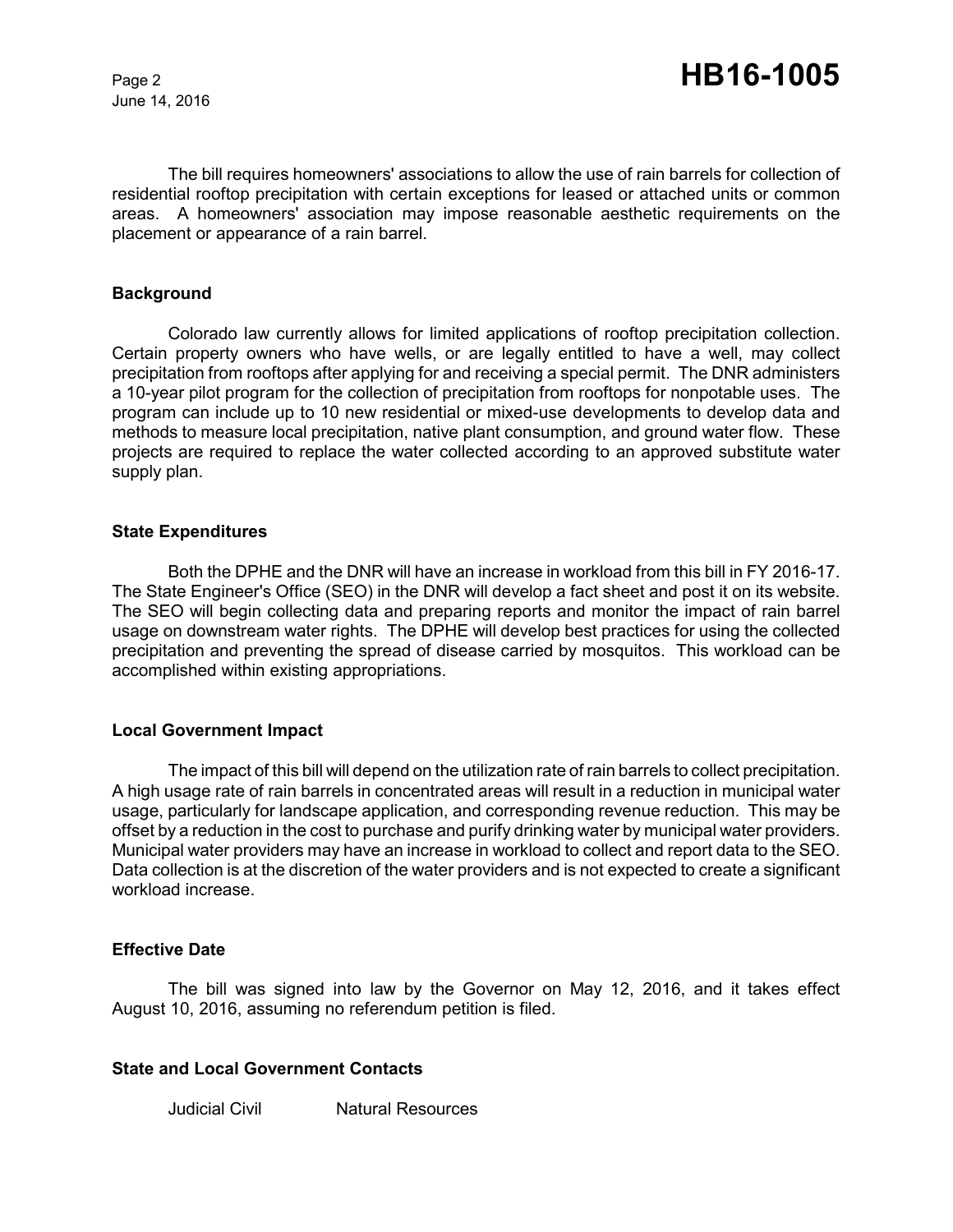June 14, 2016

The bill requires homeowners' associations to allow the use of rain barrels for collection of residential rooftop precipitation with certain exceptions for leased or attached units or common areas. A homeowners' association may impose reasonable aesthetic requirements on the placement or appearance of a rain barrel.

#### **Background**

Colorado law currently allows for limited applications of rooftop precipitation collection. Certain property owners who have wells, or are legally entitled to have a well, may collect precipitation from rooftops after applying for and receiving a special permit. The DNR administers a 10-year pilot program for the collection of precipitation from rooftops for nonpotable uses. The program can include up to 10 new residential or mixed-use developments to develop data and methods to measure local precipitation, native plant consumption, and ground water flow. These projects are required to replace the water collected according to an approved substitute water supply plan.

#### **State Expenditures**

Both the DPHE and the DNR will have an increase in workload from this bill in FY 2016-17. The State Engineer's Office (SEO) in the DNR will develop a fact sheet and post it on its website. The SEO will begin collecting data and preparing reports and monitor the impact of rain barrel usage on downstream water rights. The DPHE will develop best practices for using the collected precipitation and preventing the spread of disease carried by mosquitos. This workload can be accomplished within existing appropriations.

#### **Local Government Impact**

The impact of this bill will depend on the utilization rate of rain barrels to collect precipitation. A high usage rate of rain barrels in concentrated areas will result in a reduction in municipal water usage, particularly for landscape application, and corresponding revenue reduction. This may be offset by a reduction in the cost to purchase and purify drinking water by municipal water providers. Municipal water providers may have an increase in workload to collect and report data to the SEO. Data collection is at the discretion of the water providers and is not expected to create a significant workload increase.

#### **Effective Date**

The bill was signed into law by the Governor on May 12, 2016, and it takes effect August 10, 2016, assuming no referendum petition is filed.

#### **State and Local Government Contacts**

Judicial Civil Natural Resources